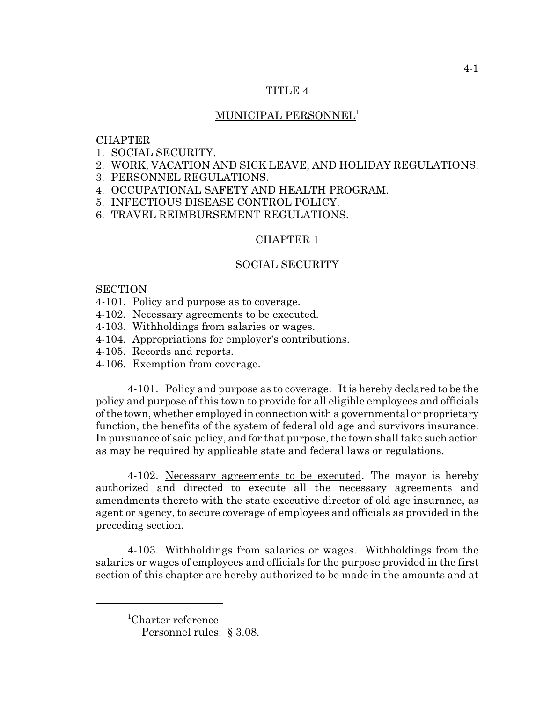## TITLE 4

# MUNICIPAL PERSONNEL<sup>1</sup>

## **CHAPTER**

- 1. SOCIAL SECURITY.
- 2. WORK, VACATION AND SICK LEAVE, AND HOLIDAY REGULATIONS.
- 3. PERSONNEL REGULATIONS.
- 4. OCCUPATIONAL SAFETY AND HEALTH PROGRAM.
- 5. INFECTIOUS DISEASE CONTROL POLICY.
- 6. TRAVEL REIMBURSEMENT REGULATIONS.

## CHAPTER 1

# SOCIAL SECURITY

## **SECTION**

- 4-101. Policy and purpose as to coverage.
- 4-102. Necessary agreements to be executed.
- 4-103. Withholdings from salaries or wages.
- 4-104. Appropriations for employer's contributions.
- 4-105. Records and reports.
- 4-106. Exemption from coverage.

4-101. Policy and purpose as to coverage. It is hereby declared to be the policy and purpose of this town to provide for all eligible employees and officials of the town, whether employed in connection with a governmental or proprietary function, the benefits of the system of federal old age and survivors insurance. In pursuance of said policy, and for that purpose, the town shall take such action as may be required by applicable state and federal laws or regulations.

4-102. Necessary agreements to be executed. The mayor is hereby authorized and directed to execute all the necessary agreements and amendments thereto with the state executive director of old age insurance, as agent or agency, to secure coverage of employees and officials as provided in the preceding section.

4-103. Withholdings from salaries or wages. Withholdings from the salaries or wages of employees and officials for the purpose provided in the first section of this chapter are hereby authorized to be made in the amounts and at

<sup>&</sup>lt;sup>1</sup>Charter reference Personnel rules: § 3.08.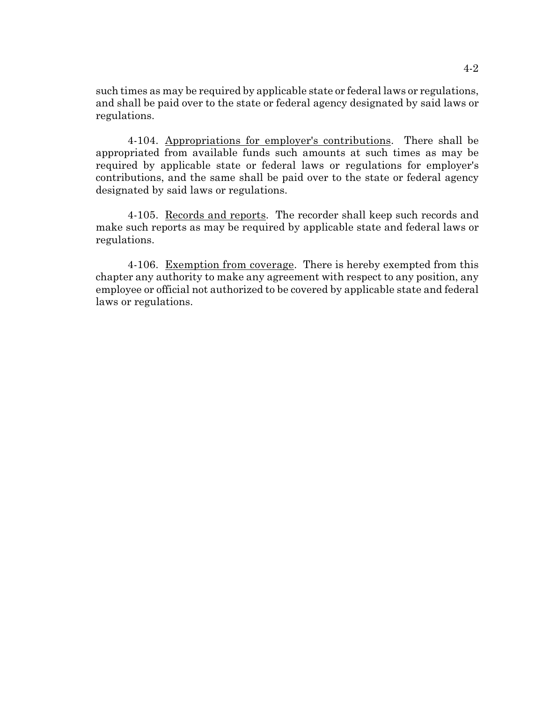such times as may be required by applicable state or federal laws or regulations, and shall be paid over to the state or federal agency designated by said laws or regulations.

4-104. Appropriations for employer's contributions. There shall be appropriated from available funds such amounts at such times as may be required by applicable state or federal laws or regulations for employer's contributions, and the same shall be paid over to the state or federal agency designated by said laws or regulations.

4-105. Records and reports. The recorder shall keep such records and make such reports as may be required by applicable state and federal laws or regulations.

4-106. Exemption from coverage. There is hereby exempted from this chapter any authority to make any agreement with respect to any position, any employee or official not authorized to be covered by applicable state and federal laws or regulations.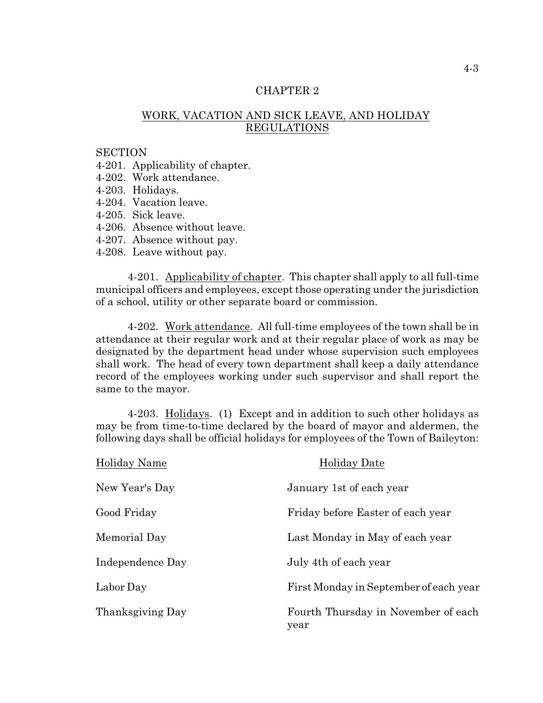# WORK, VACATION AND SICK LEAVE, AND HOLIDAY REGULATIONS

## **SECTION**

4-201. Applicability of chapter.

- 4-202. Work attendance.
- 4-203. Holidays.
- 4-204. Vacation leave.
- 4-205. Sick leave.
- 4-206. Absence without leave.
- 4-207. Absence without pay.
- 4-208. Leave without pay.

4-201. Applicability of chapter. This chapter shall apply to all full-time municipal officers and employees, except those operating under the jurisdiction of a school, utility or other separate board or commission.

4-202. Work attendance. All full-time employees of the town shall be in attendance at their regular work and at their regular place of work as may be designated by the department head under whose supervision such employees shall work. The head of every town department shall keep a daily attendance record of the employees working under such supervisor and shall report the same to the mayor.

4-203. Holidays. (1) Except and in addition to such other holidays as may be from time-to-time declared by the board of mayor and aldermen, the following days shall be official holidays for employees of the Town of Baileyton:

| Holiday Name     | <b>Holiday Date</b>                         |
|------------------|---------------------------------------------|
| New Year's Day   | January 1st of each year                    |
| Good Friday      | Friday before Easter of each year           |
| Memorial Day     | Last Monday in May of each year             |
| Independence Day | July 4th of each year                       |
| Labor Day        | First Monday in September of each year      |
| Thanksgiving Day | Fourth Thursday in November of each<br>year |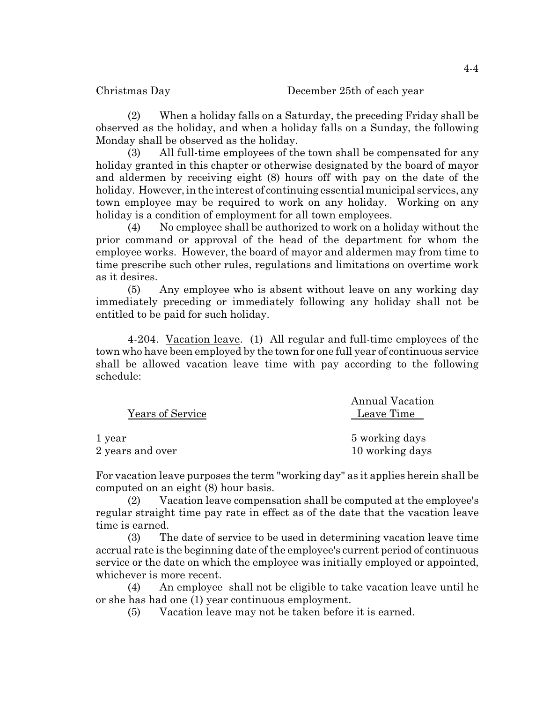(2) When a holiday falls on a Saturday, the preceding Friday shall be observed as the holiday, and when a holiday falls on a Sunday, the following Monday shall be observed as the holiday.

(3) All full-time employees of the town shall be compensated for any holiday granted in this chapter or otherwise designated by the board of mayor and aldermen by receiving eight (8) hours off with pay on the date of the holiday. However, in the interest of continuing essential municipal services, any town employee may be required to work on any holiday. Working on any holiday is a condition of employment for all town employees.

(4) No employee shall be authorized to work on a holiday without the prior command or approval of the head of the department for whom the employee works. However, the board of mayor and aldermen may from time to time prescribe such other rules, regulations and limitations on overtime work as it desires.

(5) Any employee who is absent without leave on any working day immediately preceding or immediately following any holiday shall not be entitled to be paid for such holiday.

4-204. Vacation leave. (1) All regular and full-time employees of the town who have been employed by the town for one full year of continuous service shall be allowed vacation leave time with pay according to the following schedule:

|                  | <b>Annual Vacation</b> |
|------------------|------------------------|
| Years of Service | Leave Time             |
| 1 year           | 5 working days         |
| 2 years and over | 10 working days        |

For vacation leave purposes the term "working day" as it applies herein shall be computed on an eight (8) hour basis.

(2) Vacation leave compensation shall be computed at the employee's regular straight time pay rate in effect as of the date that the vacation leave time is earned.

(3) The date of service to be used in determining vacation leave time accrual rate is the beginning date ofthe employee's current period of continuous service or the date on which the employee was initially employed or appointed, whichever is more recent.

(4) An employee shall not be eligible to take vacation leave until he or she has had one (1) year continuous employment.

(5) Vacation leave may not be taken before it is earned.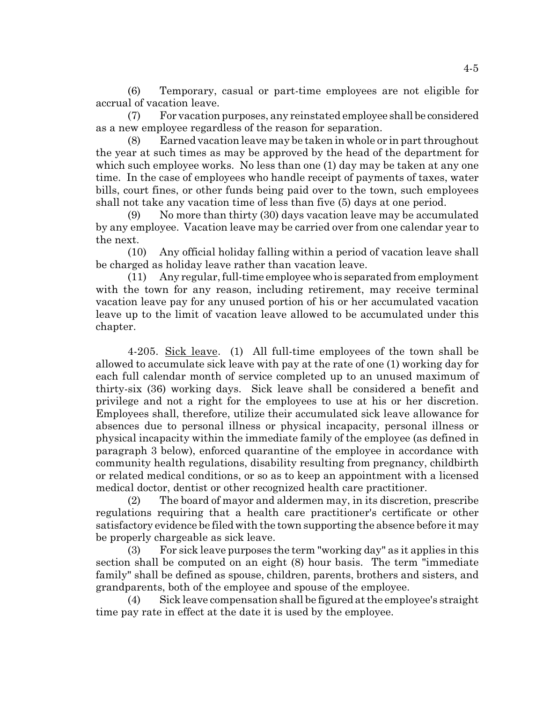(6) Temporary, casual or part-time employees are not eligible for accrual of vacation leave.

(7) For vacation purposes, any reinstated employee shall be considered as a new employee regardless of the reason for separation.

(8) Earned vacation leave may be taken in whole or in part throughout the year at such times as may be approved by the head of the department for which such employee works. No less than one (1) day may be taken at any one time. In the case of employees who handle receipt of payments of taxes, water bills, court fines, or other funds being paid over to the town, such employees shall not take any vacation time of less than five (5) days at one period.

(9) No more than thirty (30) days vacation leave may be accumulated by any employee. Vacation leave may be carried over from one calendar year to the next.

(10) Any official holiday falling within a period of vacation leave shall be charged as holiday leave rather than vacation leave.

(11) Any regular, full-time employee who is separated from employment with the town for any reason, including retirement, may receive terminal vacation leave pay for any unused portion of his or her accumulated vacation leave up to the limit of vacation leave allowed to be accumulated under this chapter.

4-205. Sick leave. (1) All full-time employees of the town shall be allowed to accumulate sick leave with pay at the rate of one (1) working day for each full calendar month of service completed up to an unused maximum of thirty-six (36) working days. Sick leave shall be considered a benefit and privilege and not a right for the employees to use at his or her discretion. Employees shall, therefore, utilize their accumulated sick leave allowance for absences due to personal illness or physical incapacity, personal illness or physical incapacity within the immediate family of the employee (as defined in paragraph 3 below), enforced quarantine of the employee in accordance with community health regulations, disability resulting from pregnancy, childbirth or related medical conditions, or so as to keep an appointment with a licensed medical doctor, dentist or other recognized health care practitioner.

(2) The board of mayor and aldermen may, in its discretion, prescribe regulations requiring that a health care practitioner's certificate or other satisfactory evidence be filed with the town supporting the absence before it may be properly chargeable as sick leave.

(3) For sick leave purposes the term "working day" as it applies in this section shall be computed on an eight (8) hour basis. The term "immediate family" shall be defined as spouse, children, parents, brothers and sisters, and grandparents, both of the employee and spouse of the employee.

(4) Sick leave compensation shall be figured at the employee's straight time pay rate in effect at the date it is used by the employee.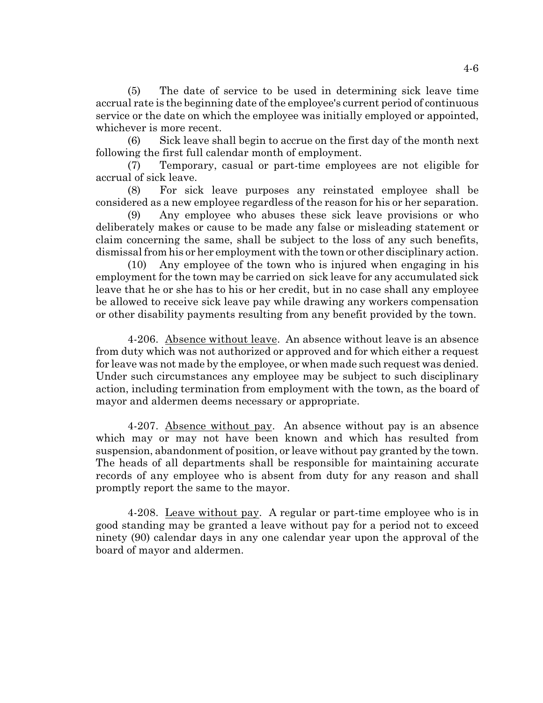(5) The date of service to be used in determining sick leave time accrual rate is the beginning date of the employee's current period of continuous service or the date on which the employee was initially employed or appointed, whichever is more recent.

(6) Sick leave shall begin to accrue on the first day of the month next following the first full calendar month of employment.

(7) Temporary, casual or part-time employees are not eligible for accrual of sick leave.

(8) For sick leave purposes any reinstated employee shall be considered as a new employee regardless of the reason for his or her separation.

(9) Any employee who abuses these sick leave provisions or who deliberately makes or cause to be made any false or misleading statement or claim concerning the same, shall be subject to the loss of any such benefits, dismissal from his or her employment with the town or other disciplinary action.

(10) Any employee of the town who is injured when engaging in his employment for the town may be carried on sick leave for any accumulated sick leave that he or she has to his or her credit, but in no case shall any employee be allowed to receive sick leave pay while drawing any workers compensation or other disability payments resulting from any benefit provided by the town.

4-206. Absence without leave. An absence without leave is an absence from duty which was not authorized or approved and for which either a request for leave was not made by the employee, or when made such request was denied. Under such circumstances any employee may be subject to such disciplinary action, including termination from employment with the town, as the board of mayor and aldermen deems necessary or appropriate.

4-207. Absence without pay. An absence without pay is an absence which may or may not have been known and which has resulted from suspension, abandonment of position, or leave without pay granted by the town. The heads of all departments shall be responsible for maintaining accurate records of any employee who is absent from duty for any reason and shall promptly report the same to the mayor.

4-208. Leave without pay. A regular or part-time employee who is in good standing may be granted a leave without pay for a period not to exceed ninety (90) calendar days in any one calendar year upon the approval of the board of mayor and aldermen.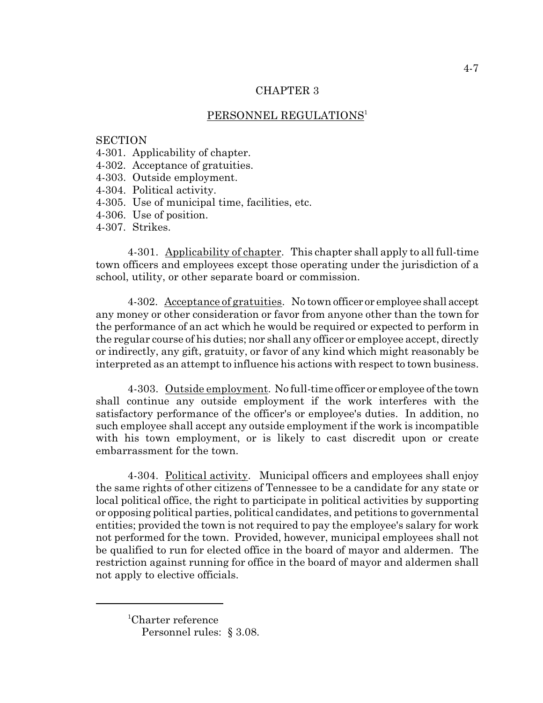## PERSONNEL REGULATIONS<sup>1</sup>

#### **SECTION**

- 4-301. Applicability of chapter.
- 4-302. Acceptance of gratuities.
- 4-303. Outside employment.
- 4-304. Political activity.
- 4-305. Use of municipal time, facilities, etc.
- 4-306. Use of position.
- 4-307. Strikes.

4-301. Applicability of chapter. This chapter shall apply to all full-time town officers and employees except those operating under the jurisdiction of a school, utility, or other separate board or commission.

4-302. Acceptance of gratuities. No town officer or employee shall accept any money or other consideration or favor from anyone other than the town for the performance of an act which he would be required or expected to perform in the regular course of his duties; nor shall any officer or employee accept, directly or indirectly, any gift, gratuity, or favor of any kind which might reasonably be interpreted as an attempt to influence his actions with respect to town business.

4-303. Outside employment. No full-time officer or employee of the town shall continue any outside employment if the work interferes with the satisfactory performance of the officer's or employee's duties. In addition, no such employee shall accept any outside employment if the work is incompatible with his town employment, or is likely to cast discredit upon or create embarrassment for the town.

4-304. Political activity. Municipal officers and employees shall enjoy the same rights of other citizens of Tennessee to be a candidate for any state or local political office, the right to participate in political activities by supporting or opposing political parties, political candidates, and petitions to governmental entities; provided the town is not required to pay the employee's salary for work not performed for the town. Provided, however, municipal employees shall not be qualified to run for elected office in the board of mayor and aldermen. The restriction against running for office in the board of mayor and aldermen shall not apply to elective officials.

<sup>&</sup>lt;sup>1</sup>Charter reference Personnel rules: § 3.08.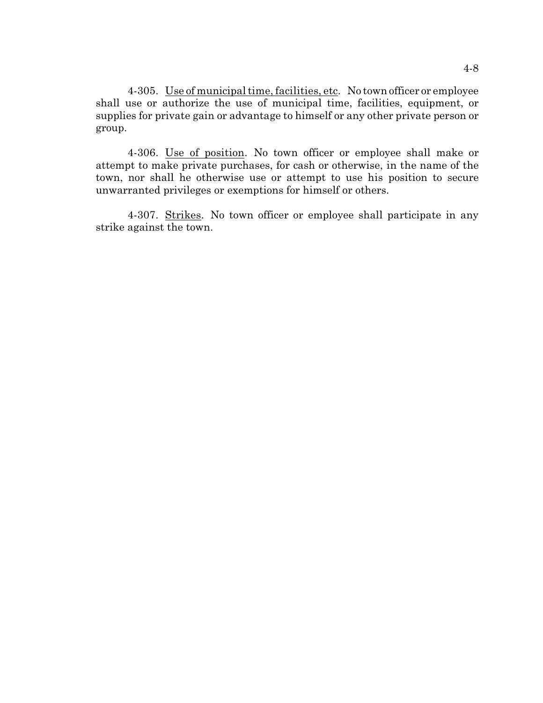4-305. Use of municipal time, facilities, etc. No town officer or employee shall use or authorize the use of municipal time, facilities, equipment, or supplies for private gain or advantage to himself or any other private person or group.

4-306. Use of position. No town officer or employee shall make or attempt to make private purchases, for cash or otherwise, in the name of the town, nor shall he otherwise use or attempt to use his position to secure unwarranted privileges or exemptions for himself or others.

4-307. Strikes. No town officer or employee shall participate in any strike against the town.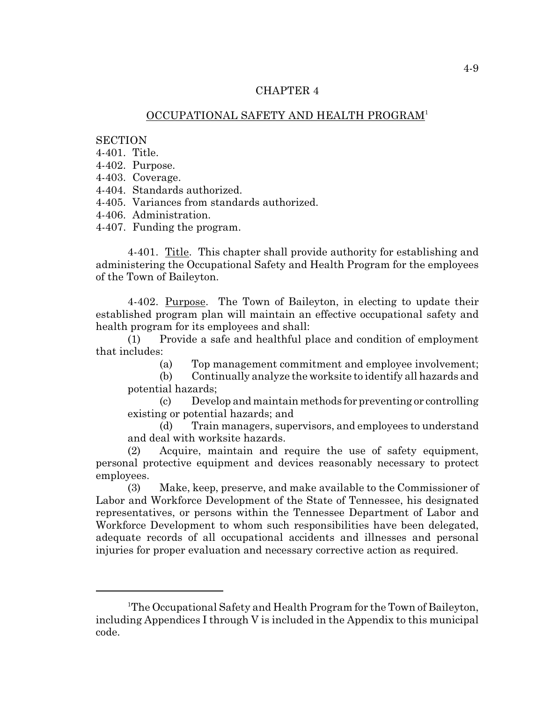## OCCUPATIONAL SAFETY AND HEALTH PROGRAM<sup>1</sup>

#### **SECTION**

4-401. Title.

4-402. Purpose.

4-403. Coverage.

4-404. Standards authorized.

4-405. Variances from standards authorized.

4-406. Administration.

4-407. Funding the program.

4-401. Title. This chapter shall provide authority for establishing and administering the Occupational Safety and Health Program for the employees of the Town of Baileyton.

4-402. Purpose. The Town of Baileyton, in electing to update their established program plan will maintain an effective occupational safety and health program for its employees and shall:

(1) Provide a safe and healthful place and condition of employment that includes:

(a) Top management commitment and employee involvement;

(b) Continually analyze the worksite to identify all hazards and potential hazards;

(c) Develop and maintain methods for preventing or controlling existing or potential hazards; and

(d) Train managers, supervisors, and employees to understand and deal with worksite hazards.

(2) Acquire, maintain and require the use of safety equipment, personal protective equipment and devices reasonably necessary to protect employees.

(3) Make, keep, preserve, and make available to the Commissioner of Labor and Workforce Development of the State of Tennessee, his designated representatives, or persons within the Tennessee Department of Labor and Workforce Development to whom such responsibilities have been delegated, adequate records of all occupational accidents and illnesses and personal injuries for proper evaluation and necessary corrective action as required.

<sup>&</sup>lt;sup>1</sup>The Occupational Safety and Health Program for the Town of Baileyton, including Appendices I through V is included in the Appendix to this municipal code.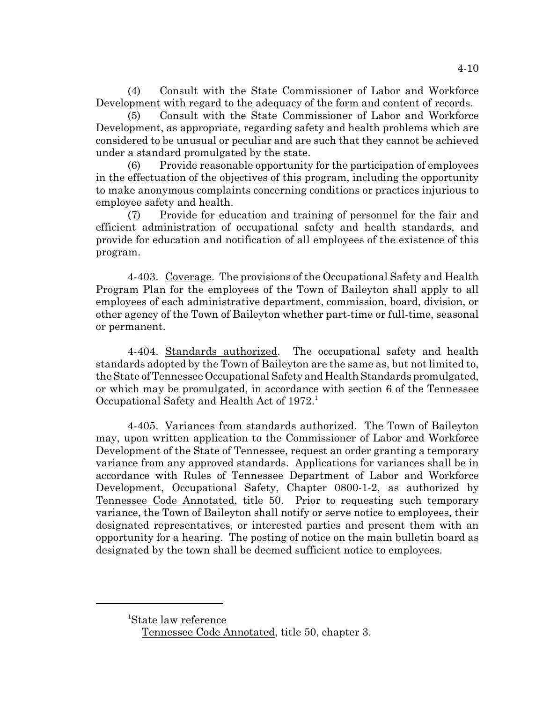(4) Consult with the State Commissioner of Labor and Workforce Development with regard to the adequacy of the form and content of records.

(5) Consult with the State Commissioner of Labor and Workforce Development, as appropriate, regarding safety and health problems which are considered to be unusual or peculiar and are such that they cannot be achieved under a standard promulgated by the state.

(6) Provide reasonable opportunity for the participation of employees in the effectuation of the objectives of this program, including the opportunity to make anonymous complaints concerning conditions or practices injurious to employee safety and health.

(7) Provide for education and training of personnel for the fair and efficient administration of occupational safety and health standards, and provide for education and notification of all employees of the existence of this program.

4-403. Coverage. The provisions of the Occupational Safety and Health Program Plan for the employees of the Town of Baileyton shall apply to all employees of each administrative department, commission, board, division, or other agency of the Town of Baileyton whether part-time or full-time, seasonal or permanent.

4-404. Standards authorized. The occupational safety and health standards adopted by the Town of Baileyton are the same as, but not limited to, the State of Tennessee Occupational Safety and Health Standards promulgated, or which may be promulgated, in accordance with section 6 of the Tennessee Occupational Safety and Health Act of 1972.<sup>1</sup>

4-405. Variances from standards authorized. The Town of Baileyton may, upon written application to the Commissioner of Labor and Workforce Development of the State of Tennessee, request an order granting a temporary variance from any approved standards. Applications for variances shall be in accordance with Rules of Tennessee Department of Labor and Workforce Development, Occupational Safety, Chapter 0800-1-2, as authorized by Tennessee Code Annotated, title 50. Prior to requesting such temporary variance, the Town of Baileyton shall notify or serve notice to employees, their designated representatives, or interested parties and present them with an opportunity for a hearing. The posting of notice on the main bulletin board as designated by the town shall be deemed sufficient notice to employees.

<sup>&</sup>lt;sup>1</sup>State law reference

Tennessee Code Annotated, title 50, chapter 3.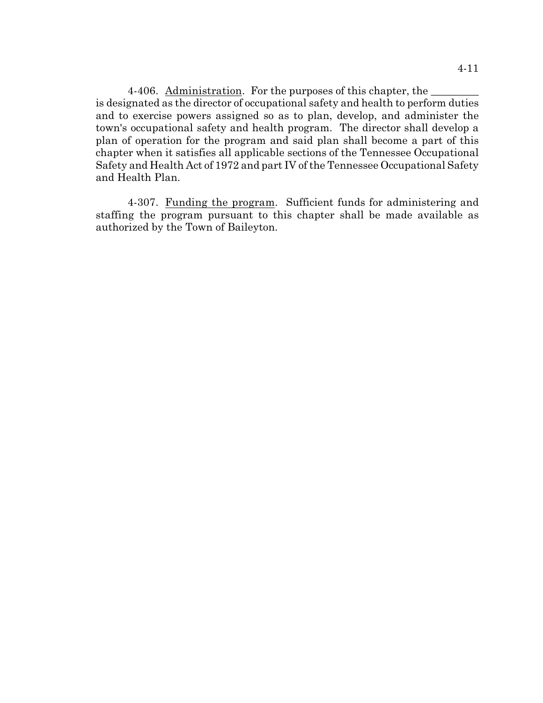4-406. Administration. For the purposes of this chapter, the is designated as the director of occupational safety and health to perform duties and to exercise powers assigned so as to plan, develop, and administer the town's occupational safety and health program. The director shall develop a plan of operation for the program and said plan shall become a part of this chapter when it satisfies all applicable sections of the Tennessee Occupational Safety and Health Act of 1972 and part IV of the Tennessee Occupational Safety and Health Plan.

4-307. Funding the program. Sufficient funds for administering and staffing the program pursuant to this chapter shall be made available as authorized by the Town of Baileyton.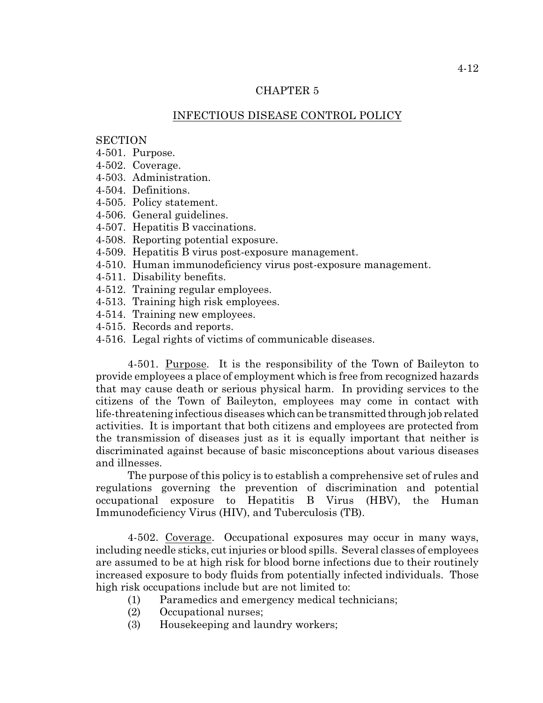## INFECTIOUS DISEASE CONTROL POLICY

## **SECTION**

- 4-501. Purpose.
- 4-502. Coverage.
- 4-503. Administration.
- 4-504. Definitions.
- 4-505. Policy statement.
- 4-506. General guidelines.
- 4-507. Hepatitis B vaccinations.
- 4-508. Reporting potential exposure.
- 4-509. Hepatitis B virus post-exposure management.
- 4-510. Human immunodeficiency virus post-exposure management.
- 4-511. Disability benefits.
- 4-512. Training regular employees.
- 4-513. Training high risk employees.
- 4-514. Training new employees.
- 4-515. Records and reports.
- 4-516. Legal rights of victims of communicable diseases.

4-501. Purpose. It is the responsibility of the Town of Baileyton to provide employees a place of employment which is free from recognized hazards that may cause death or serious physical harm. In providing services to the citizens of the Town of Baileyton, employees may come in contact with life-threatening infectious diseases which can be transmitted through job related activities. It is important that both citizens and employees are protected from the transmission of diseases just as it is equally important that neither is discriminated against because of basic misconceptions about various diseases and illnesses.

The purpose of this policy is to establish a comprehensive set of rules and regulations governing the prevention of discrimination and potential occupational exposure to Hepatitis B Virus (HBV), the Human Immunodeficiency Virus (HIV), and Tuberculosis (TB).

4-502. Coverage. Occupational exposures may occur in many ways, including needle sticks, cut injuries or blood spills. Several classes of employees are assumed to be at high risk for blood borne infections due to their routinely increased exposure to body fluids from potentially infected individuals. Those high risk occupations include but are not limited to:

- (1) Paramedics and emergency medical technicians;
- (2) Occupational nurses;
- (3) Housekeeping and laundry workers;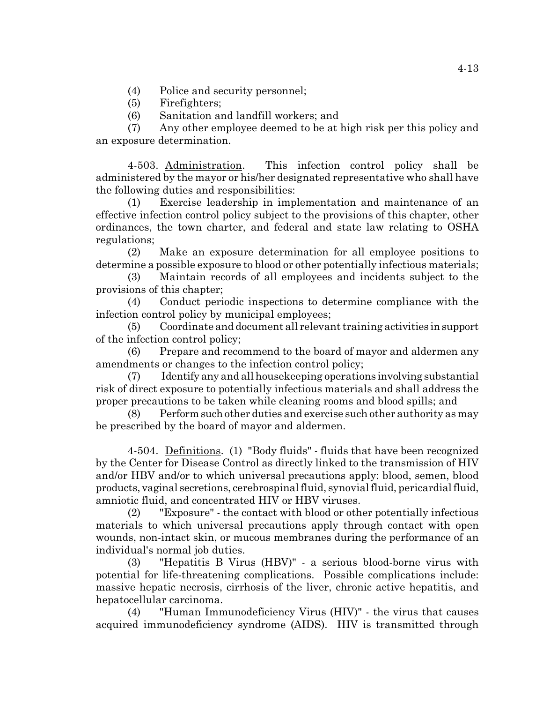(4) Police and security personnel;

- (5) Firefighters;
- (6) Sanitation and landfill workers; and

(7) Any other employee deemed to be at high risk per this policy and an exposure determination.

4-503. Administration. This infection control policy shall be administered by the mayor or his/her designated representative who shall have the following duties and responsibilities:

(1) Exercise leadership in implementation and maintenance of an effective infection control policy subject to the provisions of this chapter, other ordinances, the town charter, and federal and state law relating to OSHA regulations;

(2) Make an exposure determination for all employee positions to determine a possible exposure to blood or other potentially infectious materials;

(3) Maintain records of all employees and incidents subject to the provisions of this chapter;

(4) Conduct periodic inspections to determine compliance with the infection control policy by municipal employees;

(5) Coordinate and document all relevant training activities in support of the infection control policy;

(6) Prepare and recommend to the board of mayor and aldermen any amendments or changes to the infection control policy;

(7) Identify any and all housekeeping operations involving substantial risk of direct exposure to potentially infectious materials and shall address the proper precautions to be taken while cleaning rooms and blood spills; and

(8) Perform such other duties and exercise such other authority as may be prescribed by the board of mayor and aldermen.

4-504. Definitions. (1) "Body fluids" - fluids that have been recognized by the Center for Disease Control as directly linked to the transmission of HIV and/or HBV and/or to which universal precautions apply: blood, semen, blood products, vaginal secretions, cerebrospinal fluid, synovial fluid, pericardial fluid, amniotic fluid, and concentrated HIV or HBV viruses.

(2) "Exposure" - the contact with blood or other potentially infectious materials to which universal precautions apply through contact with open wounds, non-intact skin, or mucous membranes during the performance of an individual's normal job duties.

(3) "Hepatitis B Virus (HBV)" - a serious blood-borne virus with potential for life-threatening complications. Possible complications include: massive hepatic necrosis, cirrhosis of the liver, chronic active hepatitis, and hepatocellular carcinoma.

(4) "Human Immunodeficiency Virus (HIV)" - the virus that causes acquired immunodeficiency syndrome (AIDS). HIV is transmitted through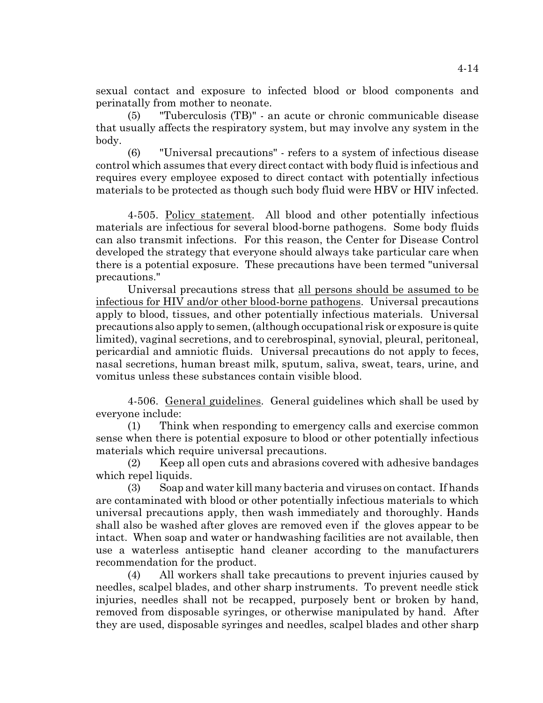sexual contact and exposure to infected blood or blood components and perinatally from mother to neonate.

(5) "Tuberculosis (TB)" - an acute or chronic communicable disease that usually affects the respiratory system, but may involve any system in the body.

(6) "Universal precautions" - refers to a system of infectious disease control which assumes that every direct contact with body fluid is infectious and requires every employee exposed to direct contact with potentially infectious materials to be protected as though such body fluid were HBV or HIV infected.

4-505. Policy statement. All blood and other potentially infectious materials are infectious for several blood-borne pathogens. Some body fluids can also transmit infections. For this reason, the Center for Disease Control developed the strategy that everyone should always take particular care when there is a potential exposure. These precautions have been termed "universal precautions."

Universal precautions stress that all persons should be assumed to be infectious for HIV and/or other blood-borne pathogens. Universal precautions apply to blood, tissues, and other potentially infectious materials. Universal precautions also apply to semen, (although occupational risk or exposure is quite limited), vaginal secretions, and to cerebrospinal, synovial, pleural, peritoneal, pericardial and amniotic fluids. Universal precautions do not apply to feces, nasal secretions, human breast milk, sputum, saliva, sweat, tears, urine, and vomitus unless these substances contain visible blood.

4-506. General guidelines. General guidelines which shall be used by everyone include:

(1) Think when responding to emergency calls and exercise common sense when there is potential exposure to blood or other potentially infectious materials which require universal precautions.

(2) Keep all open cuts and abrasions covered with adhesive bandages which repel liquids.

(3) Soap and water kill many bacteria and viruses on contact. If hands are contaminated with blood or other potentially infectious materials to which universal precautions apply, then wash immediately and thoroughly. Hands shall also be washed after gloves are removed even if the gloves appear to be intact. When soap and water or handwashing facilities are not available, then use a waterless antiseptic hand cleaner according to the manufacturers recommendation for the product.

(4) All workers shall take precautions to prevent injuries caused by needles, scalpel blades, and other sharp instruments. To prevent needle stick injuries, needles shall not be recapped, purposely bent or broken by hand, removed from disposable syringes, or otherwise manipulated by hand. After they are used, disposable syringes and needles, scalpel blades and other sharp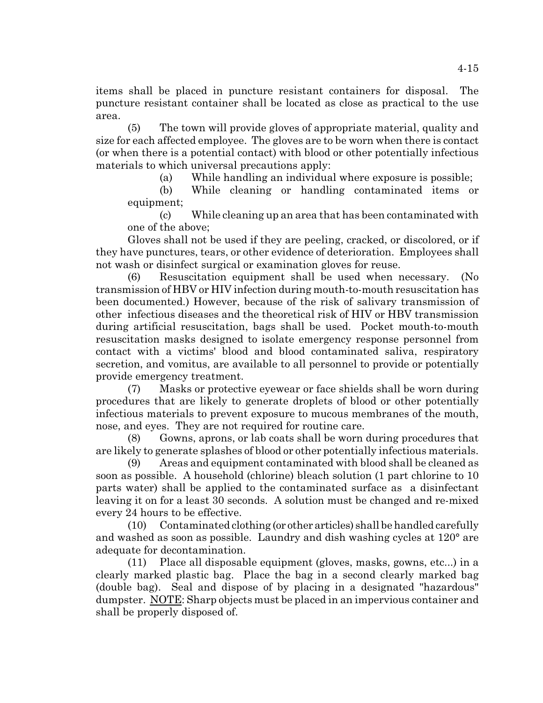items shall be placed in puncture resistant containers for disposal. The puncture resistant container shall be located as close as practical to the use area.

(5) The town will provide gloves of appropriate material, quality and size for each affected employee. The gloves are to be worn when there is contact (or when there is a potential contact) with blood or other potentially infectious materials to which universal precautions apply:

(a) While handling an individual where exposure is possible;

(b) While cleaning or handling contaminated items or equipment;

(c) While cleaning up an area that has been contaminated with one of the above;

Gloves shall not be used if they are peeling, cracked, or discolored, or if they have punctures, tears, or other evidence of deterioration. Employees shall not wash or disinfect surgical or examination gloves for reuse.

(6) Resuscitation equipment shall be used when necessary. (No transmission of HBV or HIV infection during mouth-to-mouth resuscitation has been documented.) However, because of the risk of salivary transmission of other infectious diseases and the theoretical risk of HIV or HBV transmission during artificial resuscitation, bags shall be used. Pocket mouth-to-mouth resuscitation masks designed to isolate emergency response personnel from contact with a victims' blood and blood contaminated saliva, respiratory secretion, and vomitus, are available to all personnel to provide or potentially provide emergency treatment.

(7) Masks or protective eyewear or face shields shall be worn during procedures that are likely to generate droplets of blood or other potentially infectious materials to prevent exposure to mucous membranes of the mouth, nose, and eyes. They are not required for routine care.

(8) Gowns, aprons, or lab coats shall be worn during procedures that are likely to generate splashes of blood or other potentially infectious materials.

(9) Areas and equipment contaminated with blood shall be cleaned as soon as possible. A household (chlorine) bleach solution (1 part chlorine to 10 parts water) shall be applied to the contaminated surface as a disinfectant leaving it on for a least 30 seconds. A solution must be changed and re-mixed every 24 hours to be effective.

(10) Contaminated clothing (or other articles) shall be handled carefully and washed as soon as possible. Laundry and dish washing cycles at 120° are adequate for decontamination.

(11) Place all disposable equipment (gloves, masks, gowns, etc...) in a clearly marked plastic bag. Place the bag in a second clearly marked bag (double bag). Seal and dispose of by placing in a designated "hazardous" dumpster. NOTE: Sharp objects must be placed in an impervious container and shall be properly disposed of.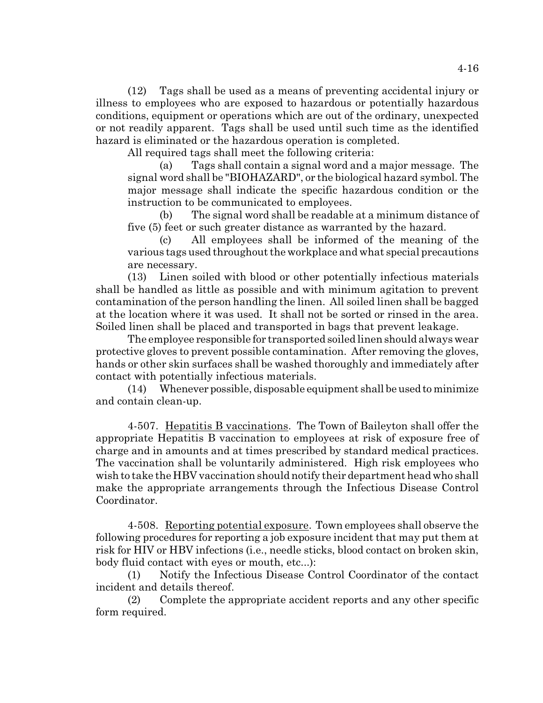(12) Tags shall be used as a means of preventing accidental injury or illness to employees who are exposed to hazardous or potentially hazardous conditions, equipment or operations which are out of the ordinary, unexpected or not readily apparent. Tags shall be used until such time as the identified hazard is eliminated or the hazardous operation is completed.

All required tags shall meet the following criteria:

(a) Tags shall contain a signal word and a major message. The signal word shall be "BIOHAZARD", or the biological hazard symbol. The major message shall indicate the specific hazardous condition or the instruction to be communicated to employees.

(b) The signal word shall be readable at a minimum distance of five (5) feet or such greater distance as warranted by the hazard.

(c) All employees shall be informed of the meaning of the various tags used throughout the workplace and what special precautions are necessary.

(13) Linen soiled with blood or other potentially infectious materials shall be handled as little as possible and with minimum agitation to prevent contamination of the person handling the linen. All soiled linen shall be bagged at the location where it was used. It shall not be sorted or rinsed in the area. Soiled linen shall be placed and transported in bags that prevent leakage.

The employee responsible for transported soiled linen should always wear protective gloves to prevent possible contamination. After removing the gloves, hands or other skin surfaces shall be washed thoroughly and immediately after contact with potentially infectious materials.

(14) Whenever possible, disposable equipment shall be used to minimize and contain clean-up.

4-507. Hepatitis B vaccinations. The Town of Baileyton shall offer the appropriate Hepatitis B vaccination to employees at risk of exposure free of charge and in amounts and at times prescribed by standard medical practices. The vaccination shall be voluntarily administered. High risk employees who wish to take the HBV vaccination should notify their department head who shall make the appropriate arrangements through the Infectious Disease Control Coordinator.

4-508. Reporting potential exposure. Town employees shall observe the following procedures for reporting a job exposure incident that may put them at risk for HIV or HBV infections (i.e., needle sticks, blood contact on broken skin, body fluid contact with eyes or mouth, etc...):

(1) Notify the Infectious Disease Control Coordinator of the contact incident and details thereof.

(2) Complete the appropriate accident reports and any other specific form required.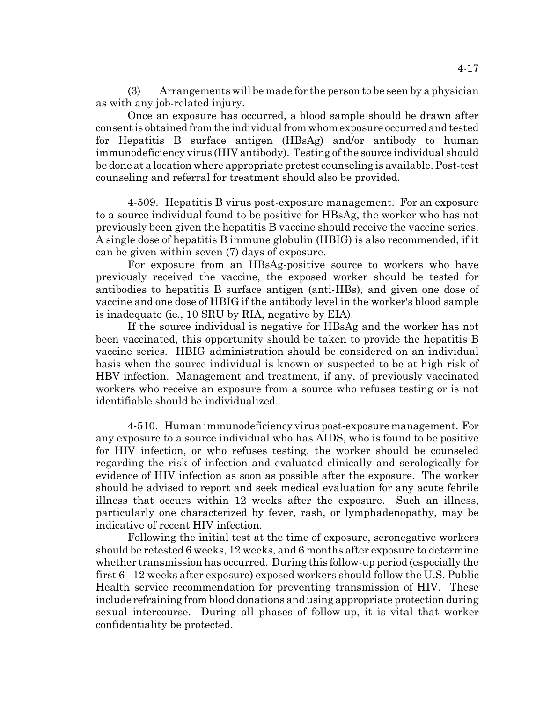(3) Arrangements will be made for the person to be seen by a physician as with any job-related injury.

Once an exposure has occurred, a blood sample should be drawn after consent is obtained from the individual from whom exposure occurred and tested for Hepatitis B surface antigen (HBsAg) and/or antibody to human immunodeficiency virus (HIV antibody). Testing of the source individual should be done at a location where appropriate pretest counseling is available. Post-test counseling and referral for treatment should also be provided.

4-509. Hepatitis B virus post-exposure management. For an exposure to a source individual found to be positive for HBsAg, the worker who has not previously been given the hepatitis B vaccine should receive the vaccine series. A single dose of hepatitis B immune globulin (HBIG) is also recommended, if it can be given within seven (7) days of exposure.

For exposure from an HBsAg-positive source to workers who have previously received the vaccine, the exposed worker should be tested for antibodies to hepatitis B surface antigen (anti-HBs), and given one dose of vaccine and one dose of HBIG if the antibody level in the worker's blood sample is inadequate (ie., 10 SRU by RIA, negative by EIA).

If the source individual is negative for HBsAg and the worker has not been vaccinated, this opportunity should be taken to provide the hepatitis B vaccine series. HBIG administration should be considered on an individual basis when the source individual is known or suspected to be at high risk of HBV infection. Management and treatment, if any, of previously vaccinated workers who receive an exposure from a source who refuses testing or is not identifiable should be individualized.

4-510. Human immunodeficiency virus post-exposure management. For any exposure to a source individual who has AIDS, who is found to be positive for HIV infection, or who refuses testing, the worker should be counseled regarding the risk of infection and evaluated clinically and serologically for evidence of HIV infection as soon as possible after the exposure. The worker should be advised to report and seek medical evaluation for any acute febrile illness that occurs within 12 weeks after the exposure. Such an illness, particularly one characterized by fever, rash, or lymphadenopathy, may be indicative of recent HIV infection.

Following the initial test at the time of exposure, seronegative workers should be retested 6 weeks, 12 weeks, and 6 months after exposure to determine whether transmission has occurred. During this follow-up period (especially the first 6 - 12 weeks after exposure) exposed workers should follow the U.S. Public Health service recommendation for preventing transmission of HIV. These include refraining from blood donations and using appropriate protection during sexual intercourse. During all phases of follow-up, it is vital that worker confidentiality be protected.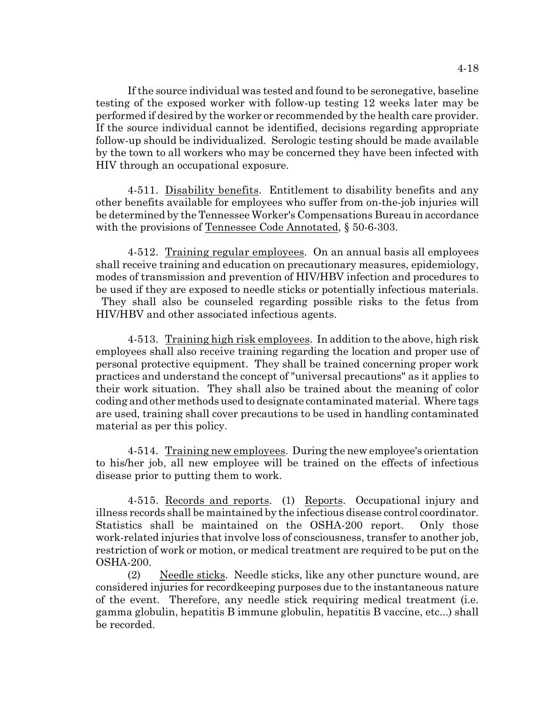If the source individual was tested and found to be seronegative, baseline testing of the exposed worker with follow-up testing 12 weeks later may be performed if desired by the worker or recommended by the health care provider. If the source individual cannot be identified, decisions regarding appropriate follow-up should be individualized. Serologic testing should be made available by the town to all workers who may be concerned they have been infected with HIV through an occupational exposure.

4-511. Disability benefits. Entitlement to disability benefits and any other benefits available for employees who suffer from on-the-job injuries will be determined by the Tennessee Worker's Compensations Bureau in accordance with the provisions of Tennessee Code Annotated, § 50-6-303.

4-512. Training regular employees. On an annual basis all employees shall receive training and education on precautionary measures, epidemiology, modes of transmission and prevention of HIV/HBV infection and procedures to be used if they are exposed to needle sticks or potentially infectious materials. They shall also be counseled regarding possible risks to the fetus from HIV/HBV and other associated infectious agents.

4-513. Training high risk employees. In addition to the above, high risk employees shall also receive training regarding the location and proper use of personal protective equipment. They shall be trained concerning proper work practices and understand the concept of "universal precautions" as it applies to their work situation. They shall also be trained about the meaning of color coding and other methods used to designate contaminated material. Where tags are used, training shall cover precautions to be used in handling contaminated material as per this policy.

4-514. Training new employees. During the new employee's orientation to his/her job, all new employee will be trained on the effects of infectious disease prior to putting them to work.

4-515. Records and reports. (1) Reports. Occupational injury and illness records shall be maintained by the infectious disease control coordinator. Statistics shall be maintained on the OSHA-200 report. Only those work-related injuries that involve loss of consciousness, transfer to another job, restriction of work or motion, or medical treatment are required to be put on the OSHA-200.

(2) Needle sticks. Needle sticks, like any other puncture wound, are considered injuries for recordkeeping purposes due to the instantaneous nature of the event. Therefore, any needle stick requiring medical treatment (i.e. gamma globulin, hepatitis B immune globulin, hepatitis B vaccine, etc...) shall be recorded.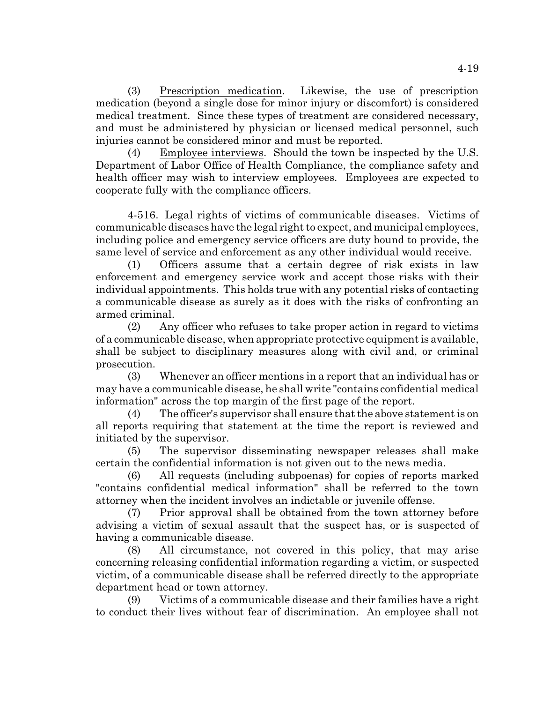(3) Prescription medication. Likewise, the use of prescription medication (beyond a single dose for minor injury or discomfort) is considered medical treatment. Since these types of treatment are considered necessary, and must be administered by physician or licensed medical personnel, such injuries cannot be considered minor and must be reported.

(4) Employee interviews. Should the town be inspected by the U.S. Department of Labor Office of Health Compliance, the compliance safety and health officer may wish to interview employees. Employees are expected to cooperate fully with the compliance officers.

4-516. Legal rights of victims of communicable diseases. Victims of communicable diseases have the legal right to expect, and municipal employees, including police and emergency service officers are duty bound to provide, the same level of service and enforcement as any other individual would receive.

(1) Officers assume that a certain degree of risk exists in law enforcement and emergency service work and accept those risks with their individual appointments. This holds true with any potential risks of contacting a communicable disease as surely as it does with the risks of confronting an armed criminal.

(2) Any officer who refuses to take proper action in regard to victims of a communicable disease, when appropriate protective equipment is available, shall be subject to disciplinary measures along with civil and, or criminal prosecution.

(3) Whenever an officer mentions in a report that an individual has or may have a communicable disease, he shall write "contains confidential medical information" across the top margin of the first page of the report.

(4) The officer's supervisor shall ensure that the above statement is on all reports requiring that statement at the time the report is reviewed and initiated by the supervisor.

(5) The supervisor disseminating newspaper releases shall make certain the confidential information is not given out to the news media.

(6) All requests (including subpoenas) for copies of reports marked "contains confidential medical information" shall be referred to the town attorney when the incident involves an indictable or juvenile offense.

(7) Prior approval shall be obtained from the town attorney before advising a victim of sexual assault that the suspect has, or is suspected of having a communicable disease.

(8) All circumstance, not covered in this policy, that may arise concerning releasing confidential information regarding a victim, or suspected victim, of a communicable disease shall be referred directly to the appropriate department head or town attorney.

(9) Victims of a communicable disease and their families have a right to conduct their lives without fear of discrimination. An employee shall not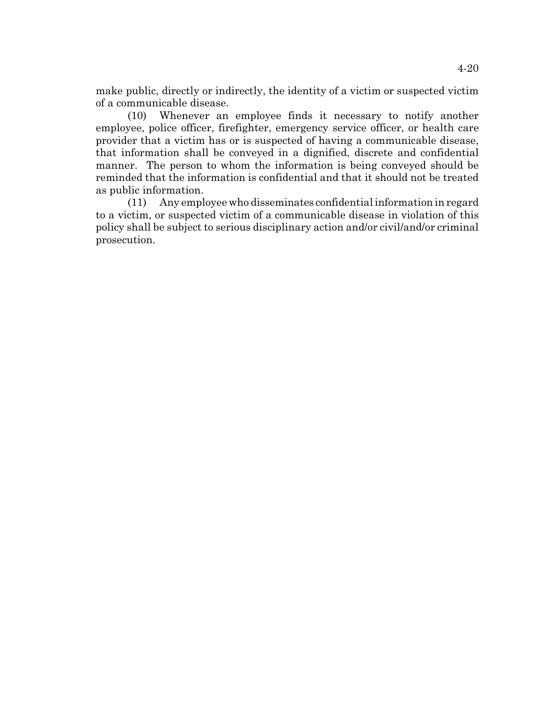make public, directly or indirectly, the identity of a victim or suspected victim of a communicable disease.

(10) Whenever an employee finds it necessary to notify another employee, police officer, firefighter, emergency service officer, or health care provider that a victim has or is suspected of having a communicable disease, that information shall be conveyed in a dignified, discrete and confidential manner. The person to whom the information is being conveyed should be reminded that the information is confidential and that it should not be treated as public information.

(11) Any employee who disseminates confidential information in regard to a victim, or suspected victim of a communicable disease in violation of this policy shall be subject to serious disciplinary action and/or civil/and/or criminal prosecution.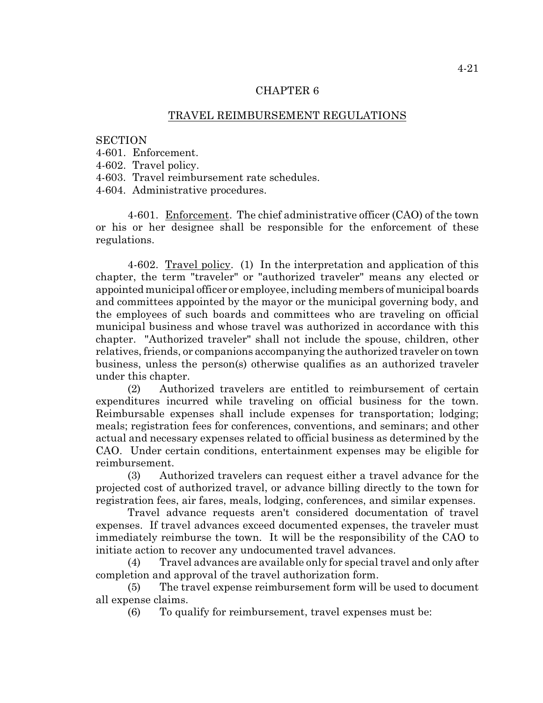## TRAVEL REIMBURSEMENT REGULATIONS

#### **SECTION**

- 4-601. Enforcement.
- 4-602. Travel policy.
- 4-603. Travel reimbursement rate schedules.

4-604. Administrative procedures.

4-601. Enforcement. The chief administrative officer (CAO) of the town or his or her designee shall be responsible for the enforcement of these regulations.

4-602. Travel policy. (1) In the interpretation and application of this chapter, the term "traveler" or "authorized traveler" means any elected or appointed municipal officer or employee, including members of municipal boards and committees appointed by the mayor or the municipal governing body, and the employees of such boards and committees who are traveling on official municipal business and whose travel was authorized in accordance with this chapter. "Authorized traveler" shall not include the spouse, children, other relatives, friends, or companions accompanying the authorized traveler on town business, unless the person(s) otherwise qualifies as an authorized traveler under this chapter.

(2) Authorized travelers are entitled to reimbursement of certain expenditures incurred while traveling on official business for the town. Reimbursable expenses shall include expenses for transportation; lodging; meals; registration fees for conferences, conventions, and seminars; and other actual and necessary expenses related to official business as determined by the CAO. Under certain conditions, entertainment expenses may be eligible for reimbursement.

(3) Authorized travelers can request either a travel advance for the projected cost of authorized travel, or advance billing directly to the town for registration fees, air fares, meals, lodging, conferences, and similar expenses.

Travel advance requests aren't considered documentation of travel expenses. If travel advances exceed documented expenses, the traveler must immediately reimburse the town. It will be the responsibility of the CAO to initiate action to recover any undocumented travel advances.

(4) Travel advances are available only for special travel and only after completion and approval of the travel authorization form.

(5) The travel expense reimbursement form will be used to document all expense claims.

(6) To qualify for reimbursement, travel expenses must be: